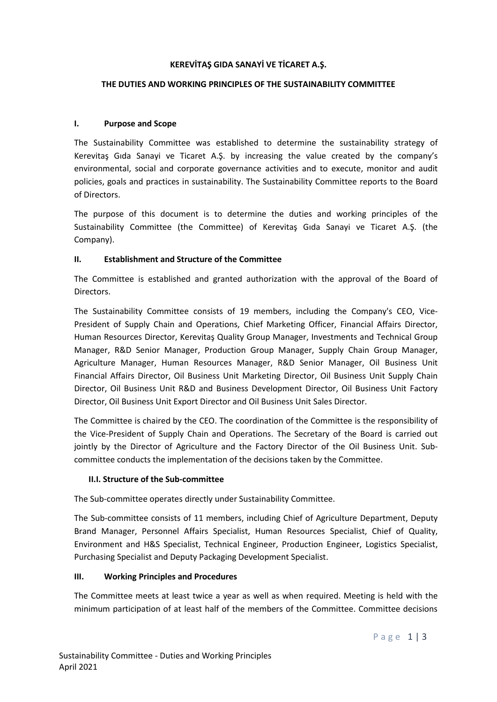## **KEREVİTAŞ GIDA SANAYİ VE TİCARET A.Ş.**

### **THE DUTIES AND WORKING PRINCIPLES OF THE SUSTAINABILITY COMMITTEE**

#### **I. Purpose and Scope**

The Sustainability Committee was established to determine the sustainability strategy of Kerevitaş Gıda Sanayi ve Ticaret A.Ş. by increasing the value created by the company's environmental, social and corporate governance activities and to execute, monitor and audit policies, goals and practices in sustainability. The Sustainability Committee reports to the Board of Directors.

The purpose of this document is to determine the duties and working principles of the Sustainability Committee (the Committee) of Kerevitaş Gıda Sanayi ve Ticaret A.Ş. (the Company).

#### **II. Establishment and Structure of the Committee**

The Committee is established and granted authorization with the approval of the Board of Directors.

The Sustainability Committee consists of 19 members, including the Company's CEO, Vice-President of Supply Chain and Operations, Chief Marketing Officer, Financial Affairs Director, Human Resources Director, Kerevitaş Quality Group Manager, Investments and Technical Group Manager, R&D Senior Manager, Production Group Manager, Supply Chain Group Manager, Agriculture Manager, Human Resources Manager, R&D Senior Manager, Oil Business Unit Financial Affairs Director, Oil Business Unit Marketing Director, Oil Business Unit Supply Chain Director, Oil Business Unit R&D and Business Development Director, Oil Business Unit Factory Director, Oil Business Unit Export Director and Oil Business Unit Sales Director.

The Committee is chaired by the CEO. The coordination of the Committee is the responsibility of the Vice-President of Supply Chain and Operations. The Secretary of the Board is carried out jointly by the Director of Agriculture and the Factory Director of the Oil Business Unit. Subcommittee conducts the implementation of the decisions taken by the Committee.

## **II.I. Structure of the Sub-committee**

The Sub-committee operates directly under Sustainability Committee.

The Sub-committee consists of 11 members, including Chief of Agriculture Department, Deputy Brand Manager, Personnel Affairs Specialist, Human Resources Specialist, Chief of Quality, Environment and H&S Specialist, Technical Engineer, Production Engineer, Logistics Specialist, Purchasing Specialist and Deputy Packaging Development Specialist.

## **III. Working Principles and Procedures**

The Committee meets at least twice a year as well as when required. Meeting is held with the minimum participation of at least half of the members of the Committee. Committee decisions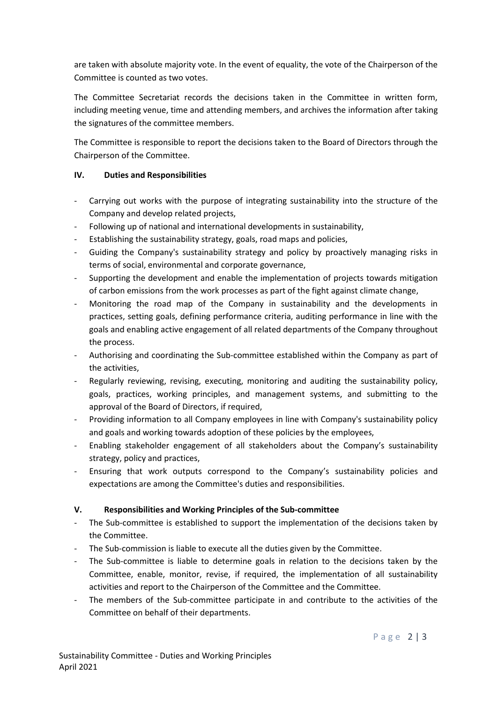are taken with absolute majority vote. In the event of equality, the vote of the Chairperson of the Committee is counted as two votes.

The Committee Secretariat records the decisions taken in the Committee in written form, including meeting venue, time and attending members, and archives the information after taking the signatures of the committee members.

The Committee is responsible to report the decisions taken to the Board of Directors through the Chairperson of the Committee.

## **IV. Duties and Responsibilities**

- Carrying out works with the purpose of integrating sustainability into the structure of the Company and develop related projects,
- Following up of national and international developments in sustainability,
- Establishing the sustainability strategy, goals, road maps and policies,
- Guiding the Company's sustainability strategy and policy by proactively managing risks in terms of social, environmental and corporate governance,
- Supporting the development and enable the implementation of projects towards mitigation of carbon emissions from the work processes as part of the fight against climate change,
- Monitoring the road map of the Company in sustainability and the developments in practices, setting goals, defining performance criteria, auditing performance in line with the goals and enabling active engagement of all related departments of the Company throughout the process.
- Authorising and coordinating the Sub-committee established within the Company as part of the activities,
- Regularly reviewing, revising, executing, monitoring and auditing the sustainability policy, goals, practices, working principles, and management systems, and submitting to the approval of the Board of Directors, if required,
- Providing information to all Company employees in line with Company's sustainability policy and goals and working towards adoption of these policies by the employees,
- Enabling stakeholder engagement of all stakeholders about the Company's sustainability strategy, policy and practices,
- Ensuring that work outputs correspond to the Company's sustainability policies and expectations are among the Committee's duties and responsibilities.

# **V. Responsibilities and Working Principles of the Sub-committee**

- The Sub-committee is established to support the implementation of the decisions taken by the Committee.
- The Sub-commission is liable to execute all the duties given by the Committee.
- The Sub-committee is liable to determine goals in relation to the decisions taken by the Committee, enable, monitor, revise, if required, the implementation of all sustainability activities and report to the Chairperson of the Committee and the Committee.
- The members of the Sub-committee participate in and contribute to the activities of the Committee on behalf of their departments.